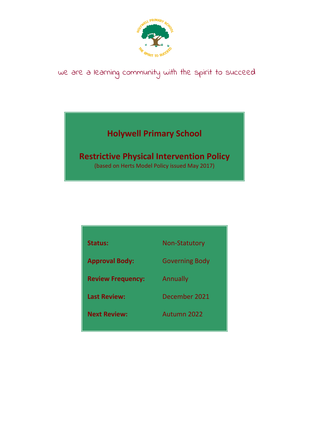

# we are a learning community with the spirit to succeed

# **Holywell Primary School**

# **Restrictive Physical Intervention Policy**

(based on Herts Model Policy issued May 2017)

| <b>Status:</b>           | <b>Non-Statutory</b>  |
|--------------------------|-----------------------|
| <b>Approval Body:</b>    | <b>Governing Body</b> |
| <b>Review Frequency:</b> | <b>Annually</b>       |
| <b>Last Review:</b>      | December 2021         |
| <b>Next Review:</b>      | Autumn 2022           |
|                          |                       |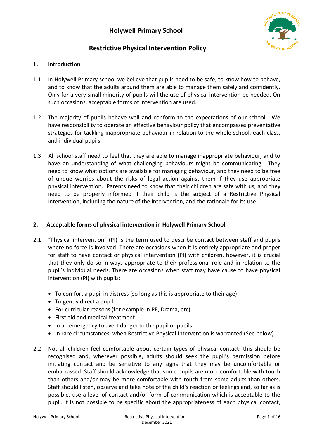

# **Restrictive Physical Intervention Policy**

# **1. Introduction**

- 1.1 In Holywell Primary school we believe that pupils need to be safe, to know how to behave, and to know that the adults around them are able to manage them safely and confidently. Only for a very small minority of pupils will the use of physical intervention be needed. On such occasions, acceptable forms of intervention are used.
- 1.2 The majority of pupils behave well and conform to the expectations of our school. We have responsibility to operate an effective behaviour policy that encompasses preventative strategies for tackling inappropriate behaviour in relation to the whole school, each class, and individual pupils.
- 1.3 All school staff need to feel that they are able to manage inappropriate behaviour, and to have an understanding of what challenging behaviours might be communicating. They need to know what options are available for managing behaviour, and they need to be free of undue worries about the risks of legal action against them if they use appropriate physical intervention. Parents need to know that their children are safe with us, and they need to be properly informed if their child is the subject of a Restrictive Physical Intervention, including the nature of the intervention, and the rationale for its use.

## **2. Acceptable forms of physical intervention in Holywell Primary School**

- 2.1 "Physical intervention" (PI) is the term used to describe contact between staff and pupils where no force is involved. There are occasions when it is entirely appropriate and proper for staff to have contact or physical intervention (PI) with children, however, it is crucial that they only do so in ways appropriate to their professional role and in relation to the pupil's individual needs. There are occasions when staff may have cause to have physical intervention (PI) with pupils:
	- To comfort a pupil in distress (so long as this is appropriate to their age)
	- To gently direct a pupil
	- For curricular reasons (for example in PE, Drama, etc)
	- First aid and medical treatment
	- In an emergency to avert danger to the pupil or pupils
	- In rare circumstances, when Restrictive Physical Intervention is warranted (See below)
- 2.2 Not all children feel comfortable about certain types of physical contact; this should be recognised and, wherever possible, adults should seek the pupil's permission before initiating contact and be sensitive to any signs that they may be uncomfortable or embarrassed. Staff should acknowledge that some pupils are more comfortable with touch than others and/or may be more comfortable with touch from some adults than others. Staff should listen, observe and take note of the child's reaction or feelings and, so far as is possible, use a level of contact and/or form of communication which is acceptable to the pupil. It is not possible to be specific about the appropriateness of each physical contact,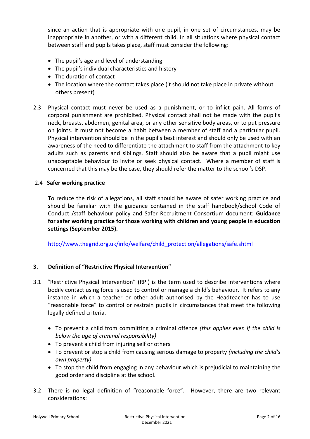since an action that is appropriate with one pupil, in one set of circumstances, may be inappropriate in another, or with a different child. In all situations where physical contact between staff and pupils takes place, staff must consider the following:

- The pupil's age and level of understanding
- The pupil's individual characteristics and history
- The duration of contact
- The location where the contact takes place (it should not take place in private without others present)
- 2.3 Physical contact must never be used as a punishment, or to inflict pain. All forms of corporal punishment are prohibited. Physical contact shall not be made with the pupil's neck, breasts, abdomen, genital area, or any other sensitive body areas, or to put pressure on joints. It must not become a habit between a member of staff and a particular pupil. Physical intervention should be in the pupil's best interest and should only be used with an awareness of the need to differentiate the attachment to staff from the attachment to key adults such as parents and siblings. Staff should also be aware that a pupil might use unacceptable behaviour to invite or seek physical contact. Where a member of staff is concerned that this may be the case, they should refer the matter to the school's DSP.

#### 2.4 **Safer working practice**

To reduce the risk of allegations, all staff should be aware of safer working practice and should be familiar with the guidance contained in the staff handbook/school Code of Conduct /staff behaviour policy and Safer Recruitment Consortium document: **Guidance for safer working practice for those working with children and young people in education settings (September 2015).**

[http://www.thegrid.org.uk/info/welfare/child\\_protection/allegations/safe.shtml](http://www.thegrid.org.uk/info/welfare/child_protection/allegations/safe.shtml)

## **3. Definition of "Restrictive Physical Intervention"**

- 3.1 "Restrictive Physical Intervention" (RPI) is the term used to describe interventions where bodily contact using force is used to control or manage a child's behaviour. It refers to any instance in which a teacher or other adult authorised by the Headteacher has to use "reasonable force" to control or restrain pupils in circumstances that meet the following legally defined criteria.
	- To prevent a child from committing a criminal offence *(this applies even if the child is below the age of criminal responsibility)*
	- To prevent a child from injuring self or others
	- To prevent or stop a child from causing serious damage to property *(including the child's own property)*
	- To stop the child from engaging in any behaviour which is prejudicial to maintaining the good order and discipline at the school.
- 3.2 There is no legal definition of "reasonable force". However, there are two relevant considerations: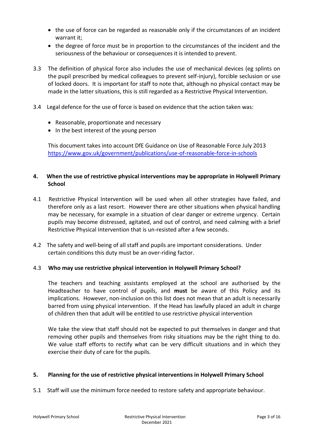- the use of force can be regarded as reasonable only if the circumstances of an incident warrant it;
- the degree of force must be in proportion to the circumstances of the incident and the seriousness of the behaviour or consequences it is intended to prevent.
- 3.3 The definition of physical force also includes the use of mechanical devices (eg splints on the pupil prescribed by medical colleagues to prevent self-injury), forcible seclusion or use of locked doors. It is important for staff to note that, although no physical contact may be made in the latter situations, this is still regarded as a Restrictive Physical Intervention.
- 3.4 Legal defence for the use of force is based on evidence that the action taken was:
	- Reasonable, proportionate and necessary
	- In the best interest of the young person

This document takes into account DfE Guidance on Use of Reasonable Force July 2013 <https://www.gov.uk/government/publications/use-of-reasonable-force-in-schools>

## **4. When the use of restrictive physical interventions may be appropriate in Holywell Primary School**

- 4.1 Restrictive Physical Intervention will be used when all other strategies have failed, and therefore only as a last resort. However there are other situations when physical handling may be necessary, for example in a situation of clear danger or extreme urgency. Certain pupils may become distressed, agitated, and out of control, and need calming with a brief Restrictive Physical Intervention that is un-resisted after a few seconds.
- 4.2 The safety and well-being of all staff and pupils are important considerations. Under certain conditions this duty must be an over-riding factor.

#### 4.3 **Who may use restrictive physical intervention in Holywell Primary School?**

The teachers and teaching assistants employed at the school are authorised by the Headteacher to have control of pupils, and **must** be aware of this Policy and its implications. However, non-inclusion on this list does not mean that an adult is necessarily barred from using physical intervention. If the Head has lawfully placed an adult in charge of children then that adult will be entitled to use restrictive physical intervention

We take the view that staff should not be expected to put themselves in danger and that removing other pupils and themselves from risky situations may be the right thing to do. We value staff efforts to rectify what can be very difficult situations and in which they exercise their duty of care for the pupils.

#### **5. Planning for the use of restrictive physical interventions in Holywell Primary School**

5.1 Staff will use the minimum force needed to restore safety and appropriate behaviour.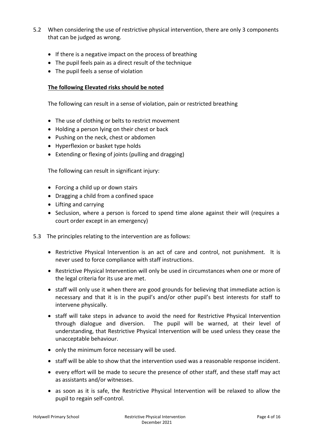- 5.2 When considering the use of restrictive physical intervention, there are only 3 components that can be judged as wrong.
	- If there is a negative impact on the process of breathing
	- The pupil feels pain as a direct result of the technique
	- The pupil feels a sense of violation

#### **The following Elevated risks should be noted**

The following can result in a sense of violation, pain or restricted breathing

- The use of clothing or belts to restrict movement
- Holding a person lying on their chest or back
- Pushing on the neck, chest or abdomen
- Hyperflexion or basket type holds
- Extending or flexing of joints (pulling and dragging)

The following can result in significant injury:

- Forcing a child up or down stairs
- Dragging a child from a confined space
- Lifting and carrying
- Seclusion, where a person is forced to spend time alone against their will (requires a court order except in an emergency)
- 5.3 The principles relating to the intervention are as follows:
	- Restrictive Physical Intervention is an act of care and control, not punishment. It is never used to force compliance with staff instructions.
	- Restrictive Physical Intervention will only be used in circumstances when one or more of the legal criteria for its use are met.
	- staff will only use it when there are good grounds for believing that immediate action is necessary and that it is in the pupil's and/or other pupil's best interests for staff to intervene physically.
	- staff will take steps in advance to avoid the need for Restrictive Physical Intervention through dialogue and diversion. The pupil will be warned, at their level of understanding, that Restrictive Physical Intervention will be used unless they cease the unacceptable behaviour.
	- only the minimum force necessary will be used.
	- staff will be able to show that the intervention used was a reasonable response incident.
	- every effort will be made to secure the presence of other staff, and these staff may act as assistants and/or witnesses.
	- as soon as it is safe, the Restrictive Physical Intervention will be relaxed to allow the pupil to regain self-control.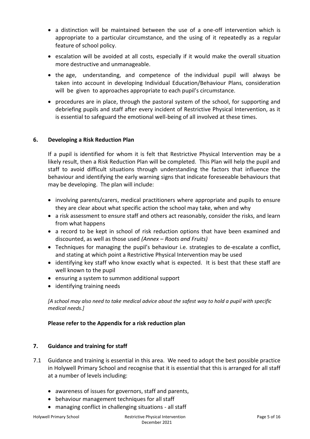- a distinction will be maintained between the use of a one-off intervention which is appropriate to a particular circumstance, and the using of it repeatedly as a regular feature of school policy.
- escalation will be avoided at all costs, especially if it would make the overall situation more destructive and unmanageable.
- the age, understanding, and competence of the individual pupil will always be taken into account in developing Individual Education/Behaviour Plans, consideration will be given to approaches appropriate to each pupil's circumstance.
- procedures are in place, through the pastoral system of the school, for supporting and debriefing pupils and staff after every incident of Restrictive Physical Intervention, as it is essential to safeguard the emotional well-being of all involved at these times.

## **6. Developing a Risk Reduction Plan**

If a pupil is identified for whom it is felt that Restrictive Physical Intervention may be a likely result, then a Risk Reduction Plan will be completed. This Plan will help the pupil and staff to avoid difficult situations through understanding the factors that influence the behaviour and identifying the early warning signs that indicate foreseeable behaviours that may be developing. The plan will include:

- involving parents/carers, medical practitioners where appropriate and pupils to ensure they are clear about what specific action the school may take, when and why
- a risk assessment to ensure staff and others act reasonably, consider the risks, and learn from what happens
- a record to be kept in school of risk reduction options that have been examined and discounted, as well as those used *(Annex – Roots and Fruits)*
- Techniques for managing the pupil's behaviour i.e. strategies to de-escalate a conflict, and stating at which point a Restrictive Physical Intervention may be used
- identifying key staff who know exactly what is expected. It is best that these staff are well known to the pupil
- ensuring a system to summon additional support
- identifying training needs

*[A school may also need to take medical advice about the safest way to hold a pupil with specific medical needs.]*

## **Please refer to the Appendix for a risk reduction plan**

#### **7. Guidance and training for staff**

- 7.1 Guidance and training is essential in this area. We need to adopt the best possible practice in Holywell Primary School and recognise that it is essential that this is arranged for all staff at a number of levels including:
	- awareness of issues for governors, staff and parents,
	- behaviour management techniques for all staff
	- managing conflict in challenging situations all staff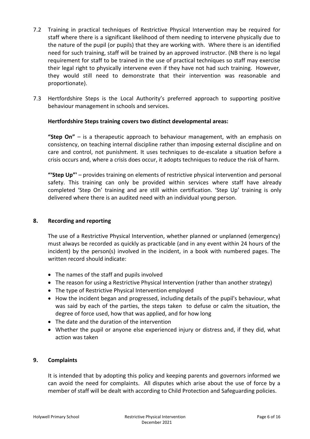- 7.2 Training in practical techniques of Restrictive Physical Intervention may be required for staff where there is a significant likelihood of them needing to intervene physically due to the nature of the pupil (or pupils) that they are working with. Where there is an identified need for such training, staff will be trained by an approved instructor. (NB there is no legal requirement for staff to be trained in the use of practical techniques so staff may exercise their legal right to physically intervene even if they have not had such training. However, they would still need to demonstrate that their intervention was reasonable and proportionate).
- 7.3 Hertfordshire Steps is the Local Authority's preferred approach to supporting positive behaviour management in schools and services.

#### **Hertfordshire Steps training covers two distinct developmental areas:**

**"Step On"** – is a therapeutic approach to behaviour management, with an emphasis on consistency, on teaching internal discipline rather than imposing external discipline and on care and control, not punishment. It uses techniques to de-escalate a situation before a crisis occurs and, where a crisis does occur, it adopts techniques to reduce the risk of harm.

**"'Step Up"'** – provides training on elements of restrictive physical intervention and personal safety. This training can only be provided within services where staff have already completed 'Step On' training and are still within certification. 'Step Up' training is only delivered where there is an audited need with an individual young person.

#### **8. Recording and reporting**

The use of a Restrictive Physical Intervention, whether planned or unplanned (emergency) must always be recorded as quickly as practicable (and in any event within 24 hours of the incident) by the person(s) involved in the incident, in a book with numbered pages. The written record should indicate:

- The names of the staff and pupils involved
- The reason for using a Restrictive Physical Intervention (rather than another strategy)
- The type of Restrictive Physical Intervention employed
- How the incident began and progressed, including details of the pupil's behaviour, what was said by each of the parties, the steps taken to defuse or calm the situation, the degree of force used, how that was applied, and for how long
- The date and the duration of the intervention
- Whether the pupil or anyone else experienced injury or distress and, if they did, what action was taken

#### **9. Complaints**

It is intended that by adopting this policy and keeping parents and governors informed we can avoid the need for complaints. All disputes which arise about the use of force by a member of staff will be dealt with according to Child Protection and Safeguarding policies.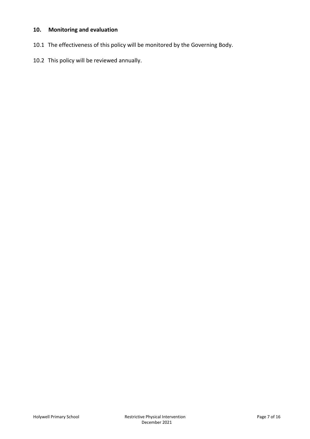# **10. Monitoring and evaluation**

- 10.1 The effectiveness of this policy will be monitored by the Governing Body.
- 10.2 This policy will be reviewed annually.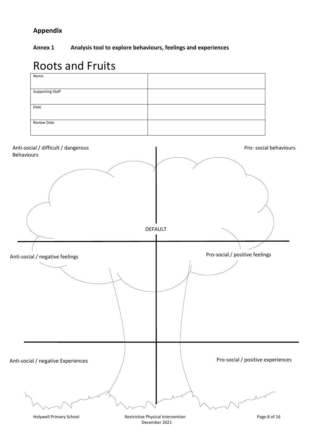# **Appendix**

**Annex 1 Analysis tool to explore behaviours, feelings and experiences**

# Roots and Fruits



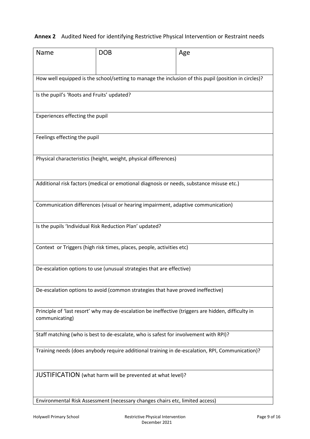# **Annex 2** Audited Need for identifying Restrictive Physical Intervention or Restraint needs

| Name                                                                                                 | <b>DOB</b>                                                                                          | Age                                                                                             |  |  |  |  |
|------------------------------------------------------------------------------------------------------|-----------------------------------------------------------------------------------------------------|-------------------------------------------------------------------------------------------------|--|--|--|--|
|                                                                                                      |                                                                                                     |                                                                                                 |  |  |  |  |
| How well equipped is the school/setting to manage the inclusion of this pupil (position in circles)? |                                                                                                     |                                                                                                 |  |  |  |  |
| Is the pupil's 'Roots and Fruits' updated?                                                           |                                                                                                     |                                                                                                 |  |  |  |  |
| Experiences effecting the pupil                                                                      |                                                                                                     |                                                                                                 |  |  |  |  |
|                                                                                                      |                                                                                                     |                                                                                                 |  |  |  |  |
| Feelings effecting the pupil                                                                         |                                                                                                     |                                                                                                 |  |  |  |  |
|                                                                                                      | Physical characteristics (height, weight, physical differences)                                     |                                                                                                 |  |  |  |  |
|                                                                                                      |                                                                                                     |                                                                                                 |  |  |  |  |
|                                                                                                      | Additional risk factors (medical or emotional diagnosis or needs, substance misuse etc.)            |                                                                                                 |  |  |  |  |
|                                                                                                      | Communication differences (visual or hearing impairment, adaptive communication)                    |                                                                                                 |  |  |  |  |
|                                                                                                      |                                                                                                     |                                                                                                 |  |  |  |  |
|                                                                                                      | Is the pupils 'Individual Risk Reduction Plan' updated?                                             |                                                                                                 |  |  |  |  |
|                                                                                                      | Context or Triggers (high risk times, places, people, activities etc)                               |                                                                                                 |  |  |  |  |
|                                                                                                      | De-escalation options to use (unusual strategies that are effective)                                |                                                                                                 |  |  |  |  |
|                                                                                                      |                                                                                                     |                                                                                                 |  |  |  |  |
|                                                                                                      | De-escalation options to avoid (common strategies that have proved ineffective)                     |                                                                                                 |  |  |  |  |
|                                                                                                      | Principle of 'last resort' why may de-escalation be ineffective (triggers are hidden, difficulty in |                                                                                                 |  |  |  |  |
| communicating)                                                                                       |                                                                                                     |                                                                                                 |  |  |  |  |
| Staff matching (who is best to de-escalate, who is safest for involvement with RPI)?                 |                                                                                                     |                                                                                                 |  |  |  |  |
|                                                                                                      |                                                                                                     | Training needs (does anybody require additional training in de-escalation, RPI, Communication)? |  |  |  |  |
|                                                                                                      | JUSTIFICATION (what harm will be prevented at what level)?                                          |                                                                                                 |  |  |  |  |
|                                                                                                      |                                                                                                     |                                                                                                 |  |  |  |  |
|                                                                                                      | Environmental Risk Assessment (necessary changes chairs etc, limited access)                        |                                                                                                 |  |  |  |  |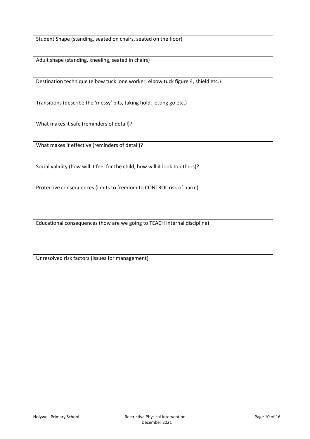Student Shape (standing, seated on chairs, seated on the floor)

Adult shape (standing, kneeling, seated in chairs)

Destination technique (elbow tuck lone worker, elbow tuck figure 4, shield etc.)

Transitions (describe the 'messy' bits, taking hold, letting go etc.)

What makes it safe (reminders of detail)?

What makes it effective (reminders of detail)?

Social validity (how will it feel for the child, how will it look to others)?

Protective consequences (limits to freedom to CONTROL risk of harm)

Educational consequences (how are we going to TEACH internal discipline)

Unresolved risk factors (issues for management)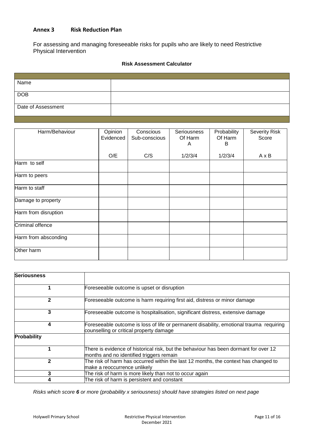#### **Annex 3 Risk Reduction Plan**

For assessing and managing foreseeable risks for pupils who are likely to need Restrictive Physical Intervention

#### **Risk Assessment Calculator**

| Name               |  |
|--------------------|--|
|                    |  |
| <b>DOB</b>         |  |
|                    |  |
| Date of Assessment |  |
|                    |  |

| Harm/Behaviour       | Opinion<br>Evidenced | Conscious<br>Sub-conscious | <b>Seriousness</b><br>Of Harm<br>A | Probability<br>Of Harm<br>B | <b>Severity Risk</b><br>Score |
|----------------------|----------------------|----------------------------|------------------------------------|-----------------------------|-------------------------------|
|                      | O/E                  | C/S                        | 1/2/3/4                            | 1/2/3/4                     | AxB                           |
| Harm to self         |                      |                            |                                    |                             |                               |
| Harm to peers        |                      |                            |                                    |                             |                               |
| Harm to staff        |                      |                            |                                    |                             |                               |
| Damage to property   |                      |                            |                                    |                             |                               |
| Harm from disruption |                      |                            |                                    |                             |                               |
| Criminal offence     |                      |                            |                                    |                             |                               |
| Harm from absconding |                      |                            |                                    |                             |                               |
| Other harm           |                      |                            |                                    |                             |                               |

| <b>Seriousness</b> |                                                                                                                                    |
|--------------------|------------------------------------------------------------------------------------------------------------------------------------|
|                    | Foreseeable outcome is upset or disruption                                                                                         |
| $\mathbf{2}$       | Foreseeable outcome is harm requiring first aid, distress or minor damage                                                          |
| 3                  | Foreseeable outcome is hospitalisation, significant distress, extensive damage                                                     |
| 4                  | Foreseeable outcome is loss of life or permanent disability, emotional trauma requiring<br>counselling or critical property damage |
| Probability        |                                                                                                                                    |
|                    | There is evidence of historical risk, but the behaviour has been dormant for over 12<br>months and no identified triggers remain   |
| 2                  | The risk of harm has occurred within the last 12 months, the context has changed to<br>lmake a reoccurrence unlikely               |
| 3                  | The risk of harm is more likely than not to occur again                                                                            |
|                    | The risk of harm is persistent and constant                                                                                        |

*Risks which score 6 or more (probability x seriousness) should have strategies listed on next page*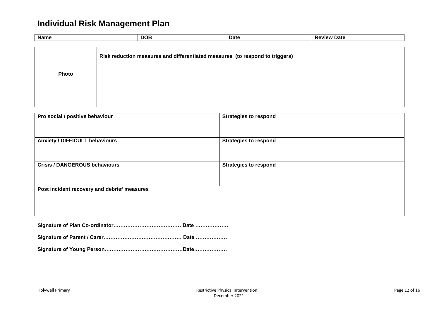# **Individual Risk Management Plan**

| <b>Name</b> | <b>DOB</b>                                                                   | <b>Date</b> | <b>Review Date</b> |  |
|-------------|------------------------------------------------------------------------------|-------------|--------------------|--|
|             |                                                                              |             |                    |  |
|             | Risk reduction measures and differentiated measures (to respond to triggers) |             |                    |  |
|             |                                                                              |             |                    |  |
|             |                                                                              |             |                    |  |
| Photo       |                                                                              |             |                    |  |
|             |                                                                              |             |                    |  |
|             |                                                                              |             |                    |  |
|             |                                                                              |             |                    |  |
|             |                                                                              |             |                    |  |

| Pro social / positive behaviour             | <b>Strategies to respond</b> |
|---------------------------------------------|------------------------------|
| <b>Anxiety / DIFFICULT behaviours</b>       | <b>Strategies to respond</b> |
| <b>Crisis / DANGEROUS behaviours</b>        | <b>Strategies to respond</b> |
| Post incident recovery and debrief measures |                              |
|                                             |                              |

**Signature of Plan Co-ordinator………………………………… Date ……………….**

**Signature of Parent / Carer……………………………………… Date ………………**

**Signature of Young Person………………………………………Date……………….**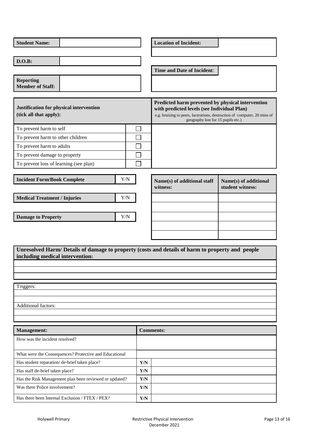| <b>Student Name:</b>                                                                                                                |                         | <b>Location of Incident:</b>                                                                                                                                                                                       |                                           |
|-------------------------------------------------------------------------------------------------------------------------------------|-------------------------|--------------------------------------------------------------------------------------------------------------------------------------------------------------------------------------------------------------------|-------------------------------------------|
| D.O.B:                                                                                                                              |                         |                                                                                                                                                                                                                    |                                           |
|                                                                                                                                     |                         | Time and Date of Incident:                                                                                                                                                                                         |                                           |
| <b>Reporting</b>                                                                                                                    |                         |                                                                                                                                                                                                                    |                                           |
| <b>Member of Staff:</b>                                                                                                             |                         |                                                                                                                                                                                                                    |                                           |
|                                                                                                                                     |                         |                                                                                                                                                                                                                    |                                           |
| Justification for physical intervention<br>(tick all that apply):                                                                   |                         | Predicted harm prevented by physical intervention<br>with predicted levels (see Individual Plan)<br>e.g. bruising to peers, lacerations, destruction of computer, 20 mins of<br>geography lost for 15 pupils etc.) |                                           |
| To prevent harm to self                                                                                                             |                         |                                                                                                                                                                                                                    |                                           |
| To prevent harm to other children                                                                                                   |                         |                                                                                                                                                                                                                    |                                           |
| To prevent harm to adults                                                                                                           |                         |                                                                                                                                                                                                                    |                                           |
| To prevent damage to property                                                                                                       |                         |                                                                                                                                                                                                                    |                                           |
| To prevent loss of learning (see plan)                                                                                              |                         |                                                                                                                                                                                                                    |                                           |
| <b>Incident Form/Book Complete</b>                                                                                                  | Y/N                     | Name(s) of additional staff<br>witness:                                                                                                                                                                            | Name(s) of additional<br>student witness: |
| <b>Medical Treatment / Injuries</b>                                                                                                 | Y/N                     |                                                                                                                                                                                                                    |                                           |
|                                                                                                                                     |                         |                                                                                                                                                                                                                    |                                           |
| <b>Damage to Property</b>                                                                                                           | Y/N                     |                                                                                                                                                                                                                    |                                           |
|                                                                                                                                     |                         |                                                                                                                                                                                                                    |                                           |
|                                                                                                                                     |                         |                                                                                                                                                                                                                    |                                           |
|                                                                                                                                     |                         |                                                                                                                                                                                                                    |                                           |
| Unresolved Harm/ Details of damage to property (costs and details of harm to property and people<br>including medical intervention: |                         |                                                                                                                                                                                                                    |                                           |
|                                                                                                                                     |                         |                                                                                                                                                                                                                    |                                           |
|                                                                                                                                     |                         |                                                                                                                                                                                                                    |                                           |
|                                                                                                                                     |                         |                                                                                                                                                                                                                    |                                           |
| Triggers:                                                                                                                           |                         |                                                                                                                                                                                                                    |                                           |
|                                                                                                                                     |                         |                                                                                                                                                                                                                    |                                           |
| Additional factors:                                                                                                                 |                         |                                                                                                                                                                                                                    |                                           |
|                                                                                                                                     |                         |                                                                                                                                                                                                                    |                                           |
|                                                                                                                                     |                         | <b>Comments:</b>                                                                                                                                                                                                   |                                           |
| <b>Management:</b><br>How was the incident resolved?                                                                                |                         |                                                                                                                                                                                                                    |                                           |
|                                                                                                                                     |                         |                                                                                                                                                                                                                    |                                           |
| What were the Consequences? Protective and Educational                                                                              |                         |                                                                                                                                                                                                                    |                                           |
| Has student reparation/de-brief taken place?                                                                                        | $\mathbf{Y}/\mathbf{N}$ |                                                                                                                                                                                                                    |                                           |
| Has staff de-brief taken place?                                                                                                     | $\mathbf{Y}/\mathbf{N}$ |                                                                                                                                                                                                                    |                                           |
| Has the Risk Management plan been reviewed or updated?                                                                              | $\mathbf{Y}/\mathbf{N}$ |                                                                                                                                                                                                                    |                                           |
| Was there Police involvement?                                                                                                       | $\mathbf{Y}/\mathbf{N}$ |                                                                                                                                                                                                                    |                                           |
| Has there been Internal Exclusion / FTEX / PEX?                                                                                     | $\mathbf{Y}/\mathbf{N}$ |                                                                                                                                                                                                                    |                                           |

 $\overline{\phantom{a}}$ 

Н

Г

 $\overline{\mathbf{1}}$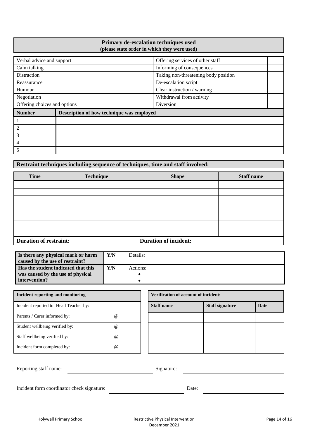#### **Primary de-escalation techniques used (please state order in which they were used)**

| Verbal advice and support    |                                           | Offering services of other staff     |
|------------------------------|-------------------------------------------|--------------------------------------|
| Calm talking                 | Informing of consequences                 |                                      |
| <b>Distraction</b>           |                                           | Taking non-threatening body position |
| Reassurance                  |                                           | De-escalation script                 |
| Humour                       |                                           | Clear instruction / warning          |
| Negotiation                  | Withdrawal from activity                  |                                      |
| Offering choices and options | Diversion                                 |                                      |
| <b>Number</b>                | Description of how technique was employed |                                      |
|                              |                                           |                                      |
| 2                            |                                           |                                      |
| 3                            |                                           |                                      |
| 4                            |                                           |                                      |
|                              |                                           |                                      |

# **Restraint techniques including sequence of techniques, time and staff involved:**

| <b>Time</b>                   | Technique | <b>Shape</b>                 | <b>Staff name</b> |
|-------------------------------|-----------|------------------------------|-------------------|
|                               |           |                              |                   |
|                               |           |                              |                   |
|                               |           |                              |                   |
|                               |           |                              |                   |
|                               |           |                              |                   |
|                               |           |                              |                   |
|                               |           |                              |                   |
| <b>Duration of restraint:</b> |           | <b>Duration of incident:</b> |                   |

| Is there any physical mark or harm<br>caused by the use of restraint? | Y/N | Details: |
|-----------------------------------------------------------------------|-----|----------|
| <b>Has the student indicated that this</b>                            | Y/N | Actions: |
| was caused by the use of physical                                     |     |          |
| intervention?                                                         |     |          |

| Incident reporting and monitoring      |                 | <b>Verification of account of incident:</b> |  |                        |      |  |  |
|----------------------------------------|-----------------|---------------------------------------------|--|------------------------|------|--|--|
| Incident reported to: Head Teacher by: |                 | <b>Staff name</b>                           |  | <b>Staff signature</b> | Date |  |  |
| Parents / Carer informed by:           | $^{\circ}$      |                                             |  |                        |      |  |  |
| Student wellbeing verified by:         | $^{\circ}$      |                                             |  |                        |      |  |  |
| Staff wellbeing verified by:           | $^{\copyright}$ |                                             |  |                        |      |  |  |
| Incident form completed by:            | $^{\circ}$      |                                             |  |                        |      |  |  |

| <b>Verification of account of incident:</b> |                        |             |  |
|---------------------------------------------|------------------------|-------------|--|
| <b>Staff name</b>                           | <b>Staff signature</b> | <b>Date</b> |  |
|                                             |                        |             |  |
|                                             |                        |             |  |
|                                             |                        |             |  |
|                                             |                        |             |  |

| Reporting staff name:                      | Signature: |       |  |
|--------------------------------------------|------------|-------|--|
| Incident form coordinator check signature: |            | Date: |  |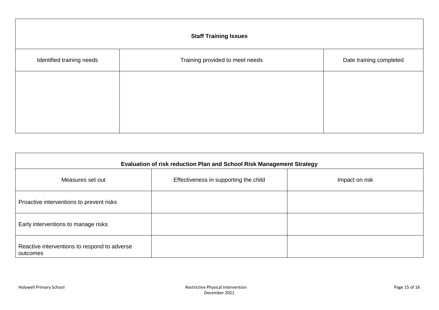| <b>Staff Training Issues</b> |                                 |                         |  |
|------------------------------|---------------------------------|-------------------------|--|
| Identified training needs    | Training provided to meet needs | Date training completed |  |
|                              |                                 |                         |  |
|                              |                                 |                         |  |
|                              |                                 |                         |  |

| Evaluation of risk reduction Plan and School Risk Management Strategy |                                       |                |  |
|-----------------------------------------------------------------------|---------------------------------------|----------------|--|
| Measures set out                                                      | Effectiveness in supporting the child | Impact on risk |  |
| Proactive interventions to prevent risks                              |                                       |                |  |
| Early interventions to manage risks                                   |                                       |                |  |
| Reactive interventions to respond to adverse<br>outcomes              |                                       |                |  |